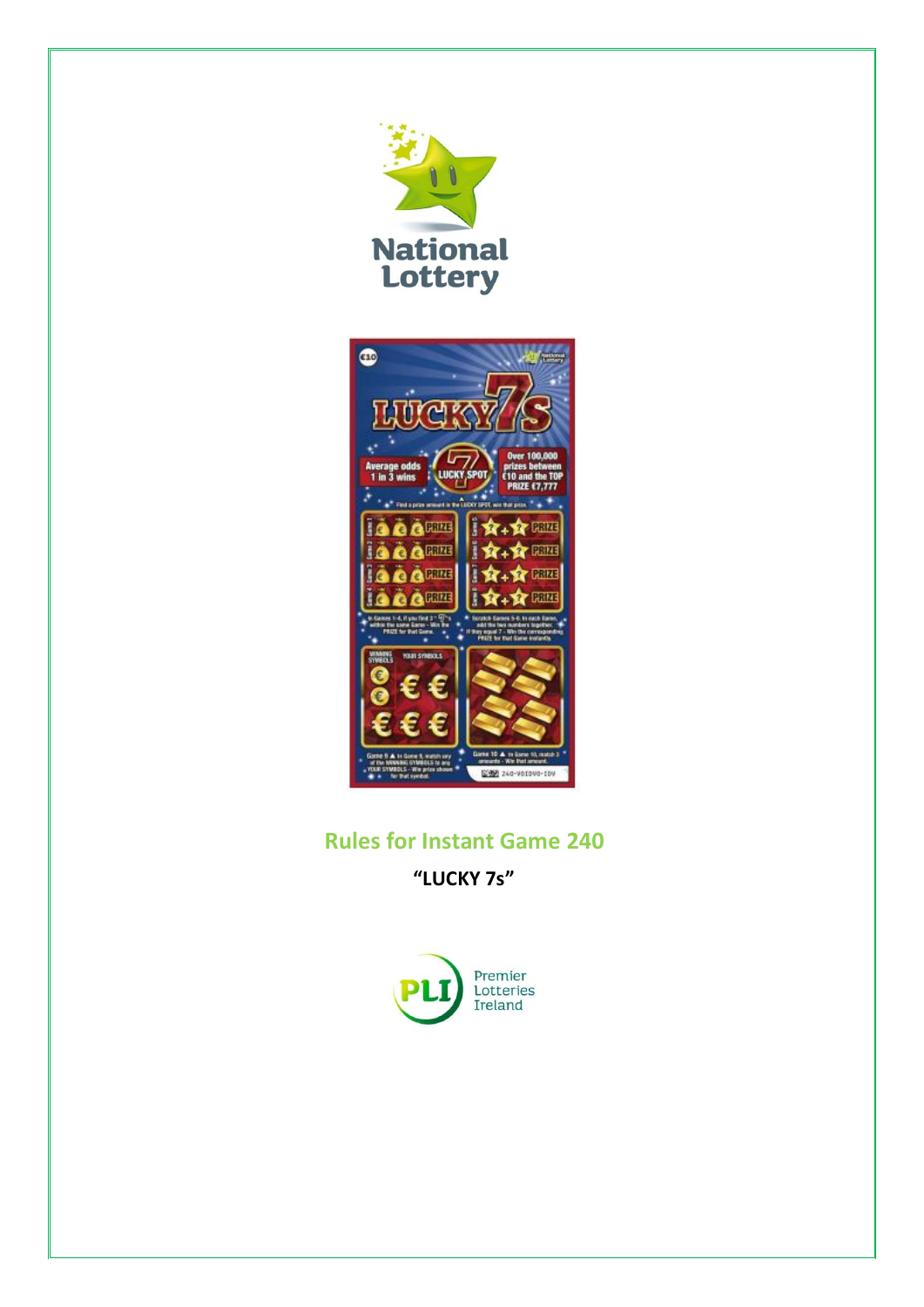



# **Rules for Instant Game 240**

# **"LUCKY 7s"**

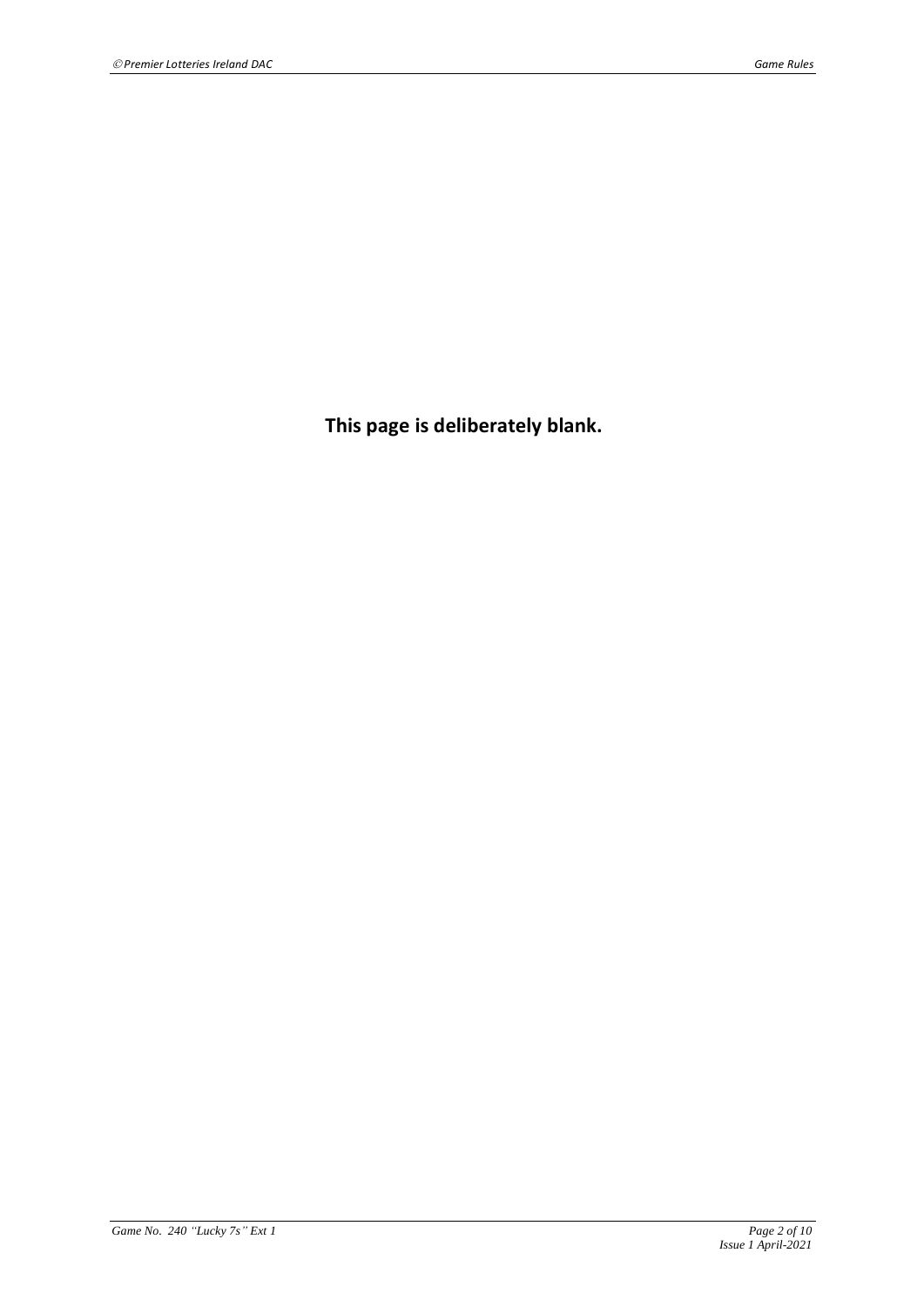**This page is deliberately blank.**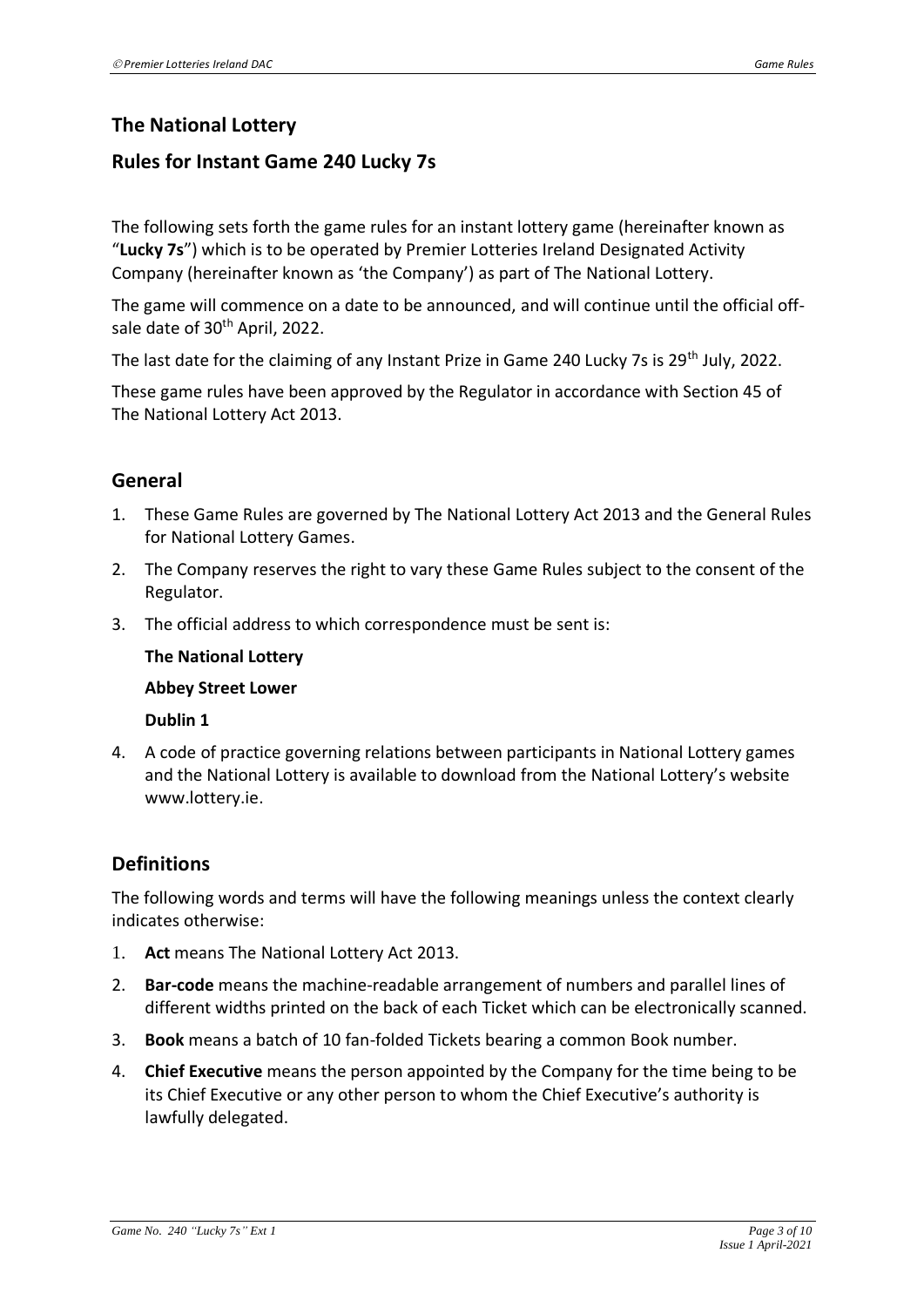# **The National Lottery**

## **Rules for Instant Game 240 Lucky 7s**

The following sets forth the game rules for an instant lottery game (hereinafter known as "**Lucky 7s**") which is to be operated by Premier Lotteries Ireland Designated Activity Company (hereinafter known as 'the Company') as part of The National Lottery.

The game will commence on a date to be announced, and will continue until the official offsale date of 30<sup>th</sup> April, 2022.

The last date for the claiming of any Instant Prize in Game 240 Lucky 7s is 29<sup>th</sup> July, 2022.

These game rules have been approved by the Regulator in accordance with Section 45 of The National Lottery Act 2013.

## **General**

- 1. These Game Rules are governed by The National Lottery Act 2013 and the General Rules for National Lottery Games.
- 2. The Company reserves the right to vary these Game Rules subject to the consent of the Regulator.
- 3. The official address to which correspondence must be sent is:

#### **The National Lottery**

#### **Abbey Street Lower**

#### **Dublin 1**

4. A code of practice governing relations between participants in National Lottery games and the National Lottery is available to download from the National Lottery's website [www.lottery.ie.](http://www.lottery.ie/)

## **Definitions**

The following words and terms will have the following meanings unless the context clearly indicates otherwise:

- 1. **Act** means The National Lottery Act 2013.
- 2. **Bar-code** means the machine-readable arrangement of numbers and parallel lines of different widths printed on the back of each Ticket which can be electronically scanned.
- 3. **Book** means a batch of 10 fan-folded Tickets bearing a common Book number.
- 4. **Chief Executive** means the person appointed by the Company for the time being to be its Chief Executive or any other person to whom the Chief Executive's authority is lawfully delegated.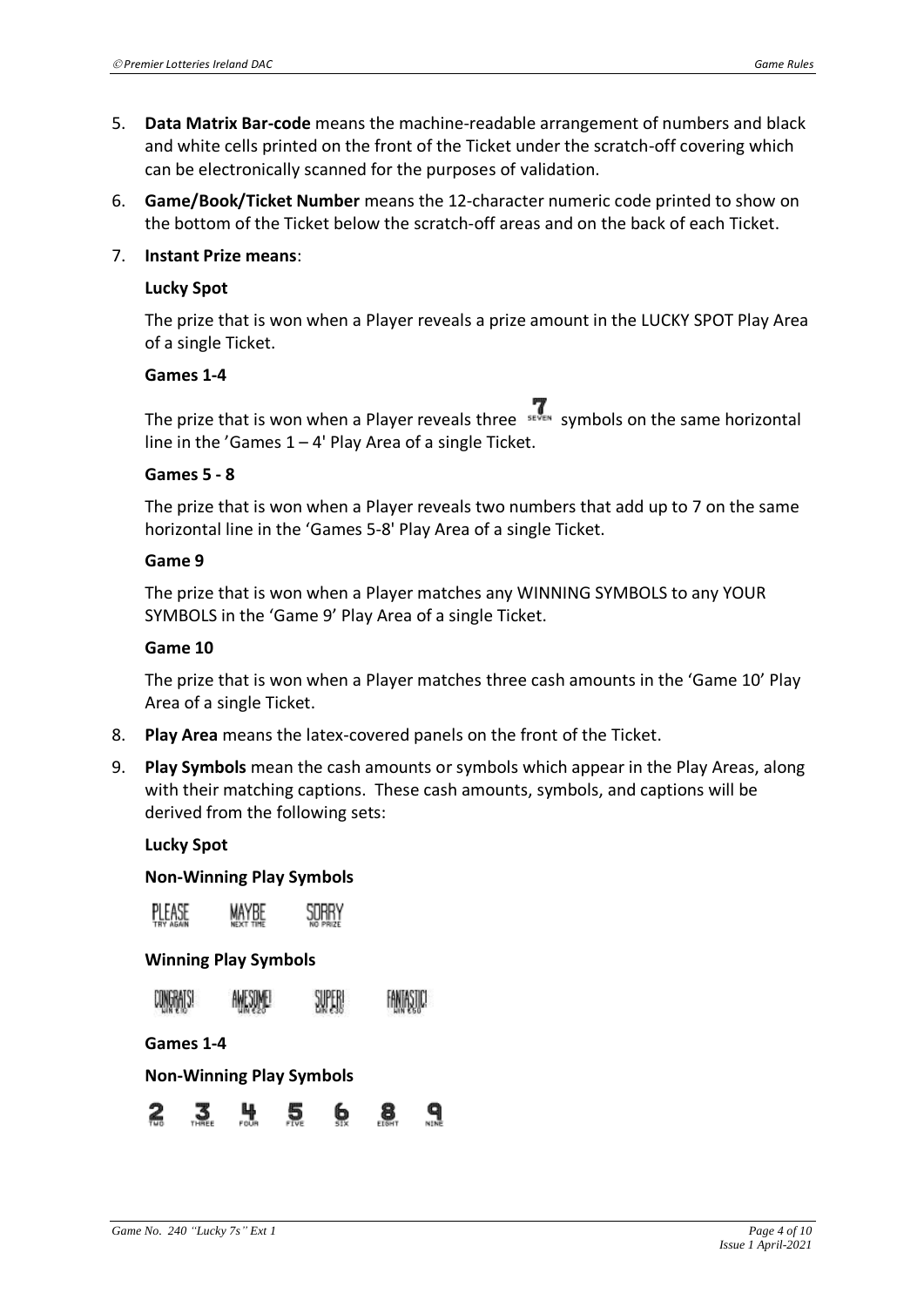- 5. **Data Matrix Bar-code** means the machine-readable arrangement of numbers and black and white cells printed on the front of the Ticket under the scratch-off covering which can be electronically scanned for the purposes of validation.
- 6. **Game/Book/Ticket Number** means the 12-character numeric code printed to show on the bottom of the Ticket below the scratch-off areas and on the back of each Ticket.

#### 7. **Instant Prize means**:

#### **Lucky Spot**

The prize that is won when a Player reveals a prize amount in the LUCKY SPOT Play Area of a single Ticket.

#### **Games 1-4**

The prize that is won when a Player reveals three symbols on the same horizontal line in the 'Games  $1 - 4$ ' Play Area of a single Ticket.

#### **Games 5 - 8**

The prize that is won when a Player reveals two numbers that add up to 7 on the same horizontal line in the 'Games 5-8' Play Area of a single Ticket.

#### **Game 9**

The prize that is won when a Player matches any WINNING SYMBOLS to any YOUR SYMBOLS in the 'Game 9' Play Area of a single Ticket.

#### **Game 10**

The prize that is won when a Player matches three cash amounts in the 'Game 10' Play Area of a single Ticket.

- 8. **Play Area** means the latex-covered panels on the front of the Ticket.
- 9. **Play Symbols** mean the cash amounts or symbols which appear in the Play Areas, along with their matching captions. These cash amounts, symbols, and captions will be derived from the following sets:

٩

## **Lucky Spot**

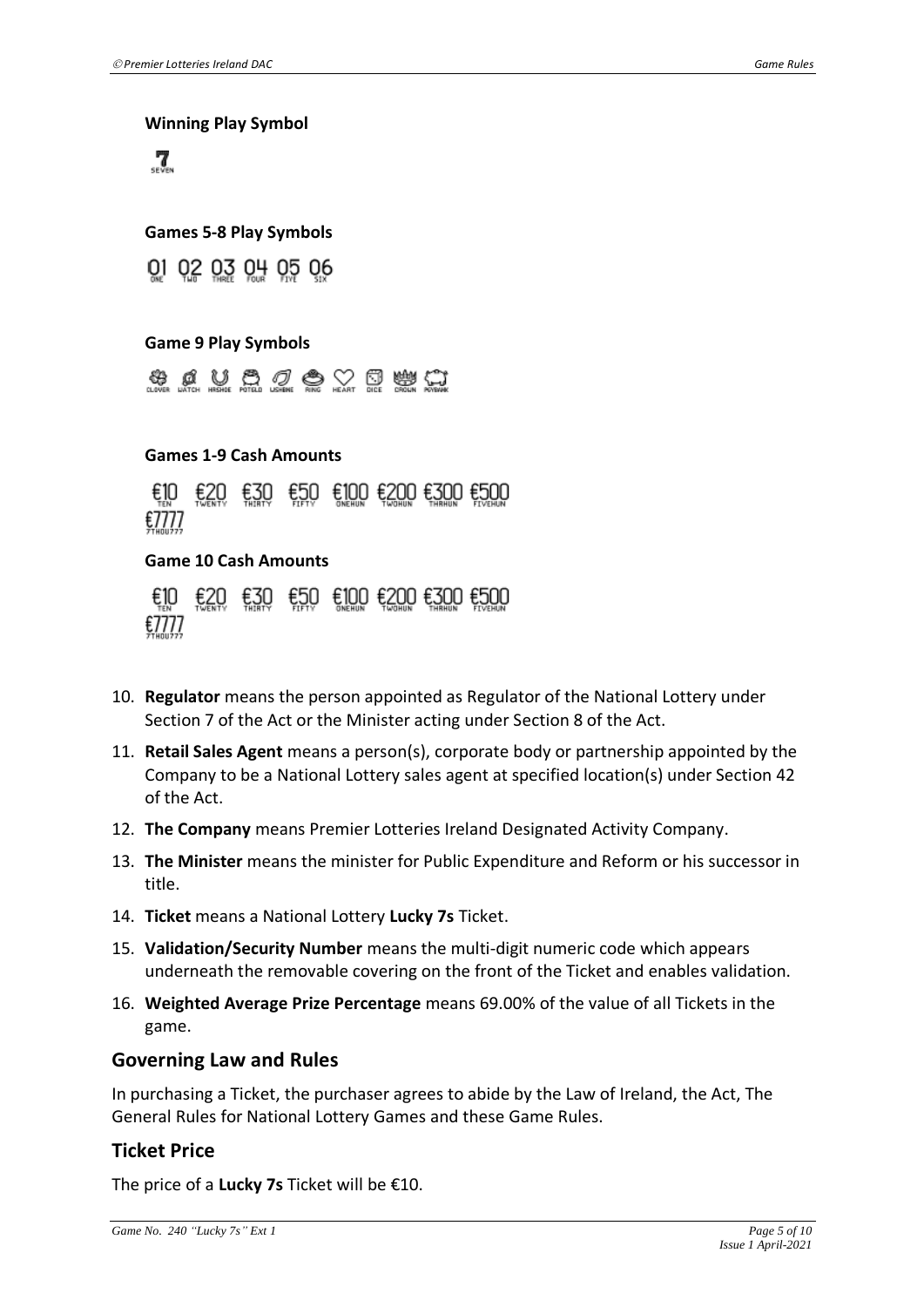#### **Winning Play Symbol**

 $\mathbf{z}$ 

## **Games 5-8 Play Symbols**

01 02 03 04 05 06

## **Game 9 Play Symbols**

**\$ 4 0 U 3 0 % 3 % 1 5 % 4 %** 

#### **Games 1-9 Cash Amounts**

|                   |  |  | $\epsilon$ 10 $\epsilon$ 20 $\epsilon$ 30 $\epsilon$ 50 $\epsilon$ 100 $\epsilon$ 200 $\epsilon$ 300 $\epsilon$ 500 |  |
|-------------------|--|--|---------------------------------------------------------------------------------------------------------------------|--|
| €7777<br>7TH0U777 |  |  |                                                                                                                     |  |

#### **Game 10 Cash Amounts**

|                          |  |  | $\xi$ 10 $\xi$ 20 $\xi$ 30 $\xi$ 50 $\xi$ 100 $\xi$ 200 $\xi$ 300 $\xi$ 500 |  |
|--------------------------|--|--|-----------------------------------------------------------------------------|--|
| €7777<br><b>7TH0U777</b> |  |  |                                                                             |  |

- 10. **Regulator** means the person appointed as Regulator of the National Lottery under Section 7 of the Act or the Minister acting under Section 8 of the Act.
- 11. **Retail Sales Agent** means a person(s), corporate body or partnership appointed by the Company to be a National Lottery sales agent at specified location(s) under Section 42 of the Act.
- 12. **The Company** means Premier Lotteries Ireland Designated Activity Company.
- 13. **The Minister** means the minister for Public Expenditure and Reform or his successor in title.
- 14. **Ticket** means a National Lottery **Lucky 7s** Ticket.
- 15. **Validation/Security Number** means the multi-digit numeric code which appears underneath the removable covering on the front of the Ticket and enables validation.
- 16. **Weighted Average Prize Percentage** means 69.00% of the value of all Tickets in the game.

## **Governing Law and Rules**

In purchasing a Ticket, the purchaser agrees to abide by the Law of Ireland, the Act, The General Rules for National Lottery Games and these Game Rules.

## **Ticket Price**

The price of a **Lucky 7s** Ticket will be €10.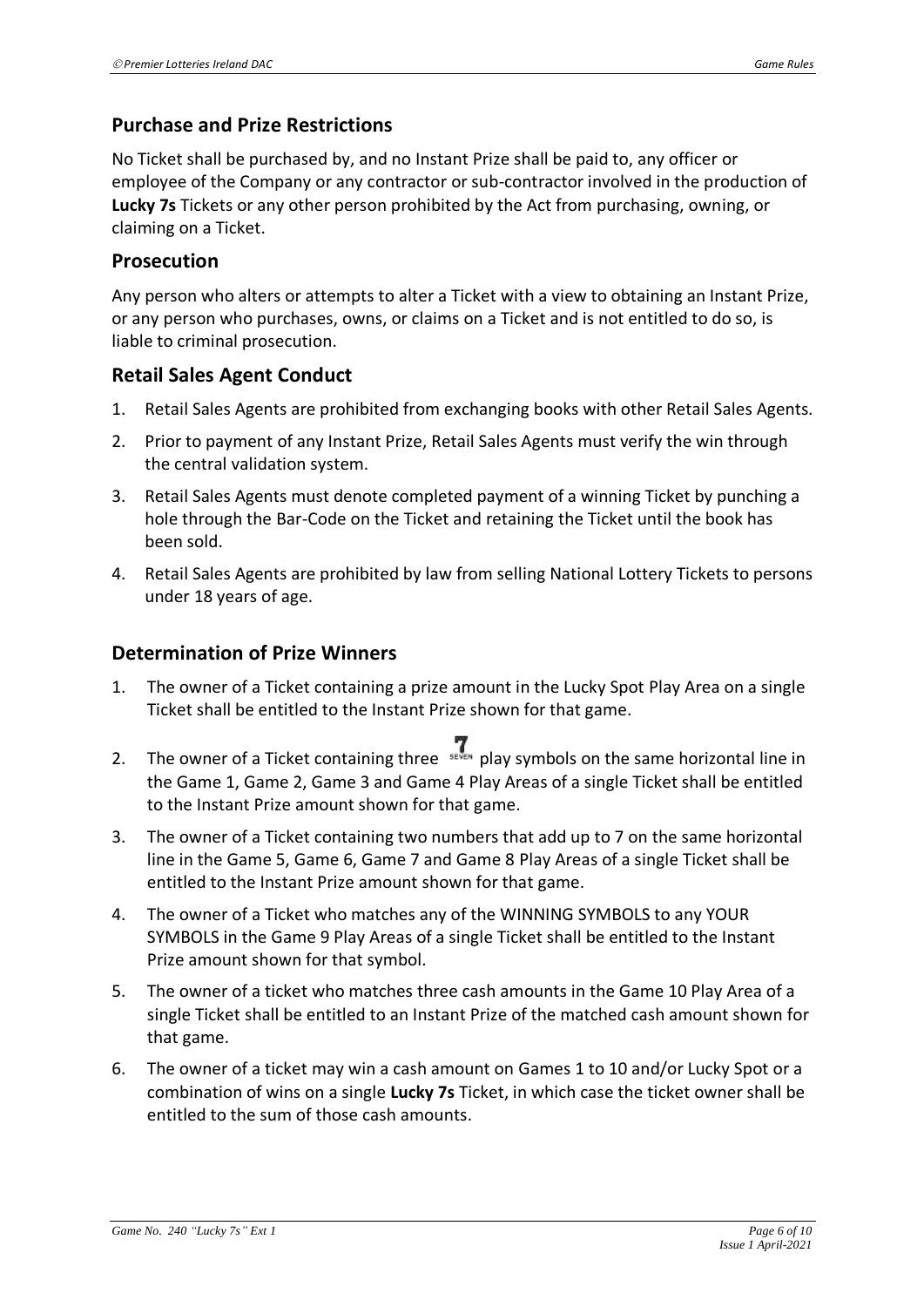## **Purchase and Prize Restrictions**

No Ticket shall be purchased by, and no Instant Prize shall be paid to, any officer or employee of the Company or any contractor or sub-contractor involved in the production of Lucky 7s Tickets or any other person prohibited by the Act from purchasing, owning, or claiming on a Ticket.

## **Prosecution**

Any person who alters or attempts to alter a Ticket with a view to obtaining an Instant Prize, or any person who purchases, owns, or claims on a Ticket and is not entitled to do so, is liable to criminal prosecution.

## **Retail Sales Agent Conduct**

- 1. Retail Sales Agents are prohibited from exchanging books with other Retail Sales Agents.
- 2. Prior to payment of any Instant Prize, Retail Sales Agents must verify the win through the central validation system.
- 3. Retail Sales Agents must denote completed payment of a winning Ticket by punching a hole through the Bar-Code on the Ticket and retaining the Ticket until the book has been sold.
- 4. Retail Sales Agents are prohibited by law from selling National Lottery Tickets to persons under 18 years of age.

## **Determination of Prize Winners**

- 1. The owner of a Ticket containing a prize amount in the Lucky Spot Play Area on a single Ticket shall be entitled to the Instant Prize shown for that game.
- 2. The owner of a Ticket containing three stress play symbols on the same horizontal line in the Game 1, Game 2, Game 3 and Game 4 Play Areas of a single Ticket shall be entitled to the Instant Prize amount shown for that game.
- 3. The owner of a Ticket containing two numbers that add up to 7 on the same horizontal line in the Game 5, Game 6, Game 7 and Game 8 Play Areas of a single Ticket shall be entitled to the Instant Prize amount shown for that game.
- 4. The owner of a Ticket who matches any of the WINNING SYMBOLS to any YOUR SYMBOLS in the Game 9 Play Areas of a single Ticket shall be entitled to the Instant Prize amount shown for that symbol.
- 5. The owner of a ticket who matches three cash amounts in the Game 10 Play Area of a single Ticket shall be entitled to an Instant Prize of the matched cash amount shown for that game.
- 6. The owner of a ticket may win a cash amount on Games 1 to 10 and/or Lucky Spot or a combination of wins on a single **Lucky 7s** Ticket, in which case the ticket owner shall be entitled to the sum of those cash amounts.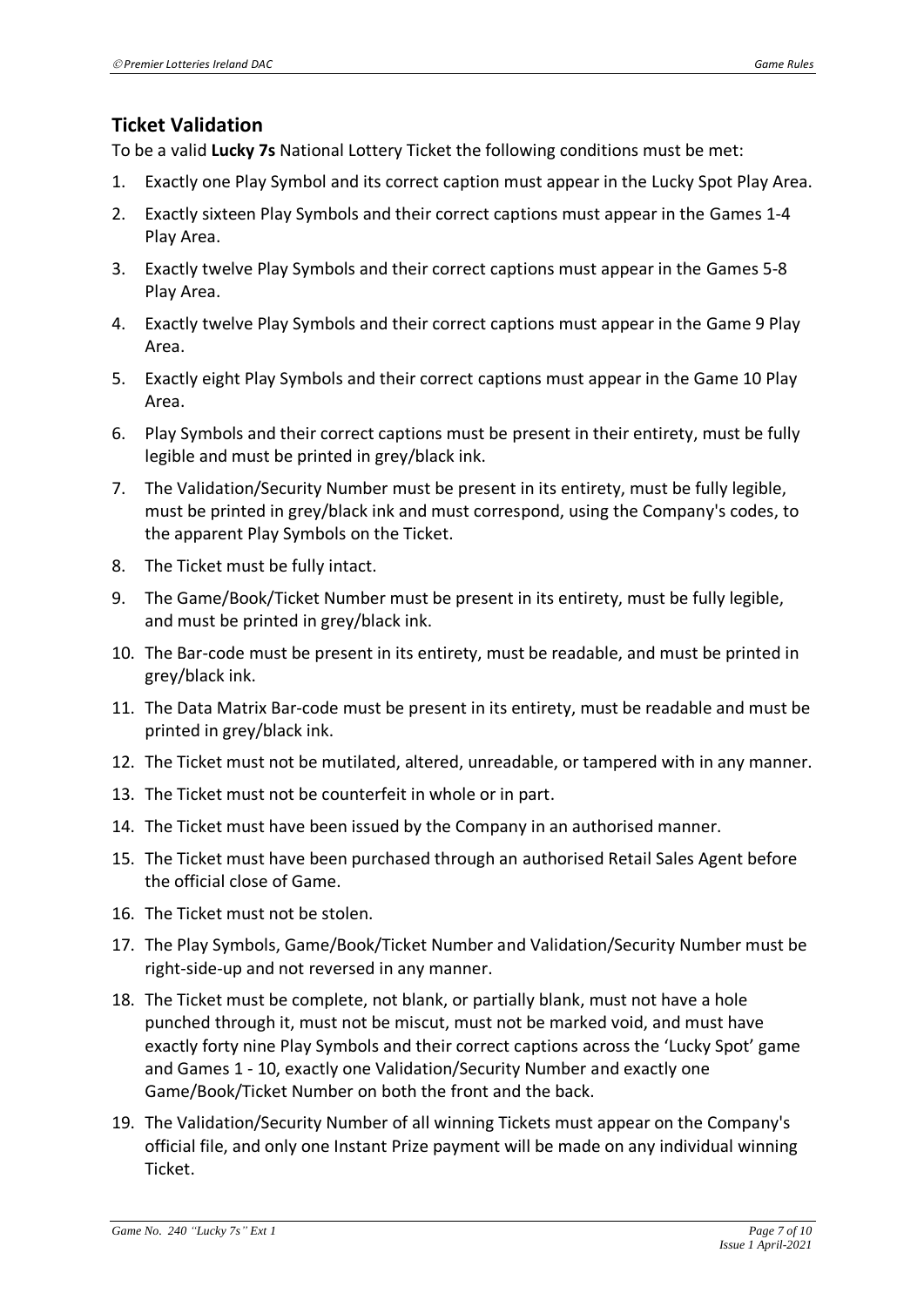# **Ticket Validation**

To be a valid **Lucky 7s** National Lottery Ticket the following conditions must be met:

- 1. Exactly one Play Symbol and its correct caption must appear in the Lucky Spot Play Area.
- 2. Exactly sixteen Play Symbols and their correct captions must appear in the Games 1-4 Play Area.
- 3. Exactly twelve Play Symbols and their correct captions must appear in the Games 5-8 Play Area.
- 4. Exactly twelve Play Symbols and their correct captions must appear in the Game 9 Play Area.
- 5. Exactly eight Play Symbols and their correct captions must appear in the Game 10 Play Area.
- 6. Play Symbols and their correct captions must be present in their entirety, must be fully legible and must be printed in grey/black ink.
- 7. The Validation/Security Number must be present in its entirety, must be fully legible, must be printed in grey/black ink and must correspond, using the Company's codes, to the apparent Play Symbols on the Ticket.
- 8. The Ticket must be fully intact.
- 9. The Game/Book/Ticket Number must be present in its entirety, must be fully legible, and must be printed in grey/black ink.
- 10. The Bar-code must be present in its entirety, must be readable, and must be printed in grey/black ink.
- 11. The Data Matrix Bar-code must be present in its entirety, must be readable and must be printed in grey/black ink.
- 12. The Ticket must not be mutilated, altered, unreadable, or tampered with in any manner.
- 13. The Ticket must not be counterfeit in whole or in part.
- 14. The Ticket must have been issued by the Company in an authorised manner.
- 15. The Ticket must have been purchased through an authorised Retail Sales Agent before the official close of Game.
- 16. The Ticket must not be stolen.
- 17. The Play Symbols, Game/Book/Ticket Number and Validation/Security Number must be right-side-up and not reversed in any manner.
- 18. The Ticket must be complete, not blank, or partially blank, must not have a hole punched through it, must not be miscut, must not be marked void, and must have exactly forty nine Play Symbols and their correct captions across the 'Lucky Spot' game and Games 1 - 10, exactly one Validation/Security Number and exactly one Game/Book/Ticket Number on both the front and the back.
- 19. The Validation/Security Number of all winning Tickets must appear on the Company's official file, and only one Instant Prize payment will be made on any individual winning Ticket.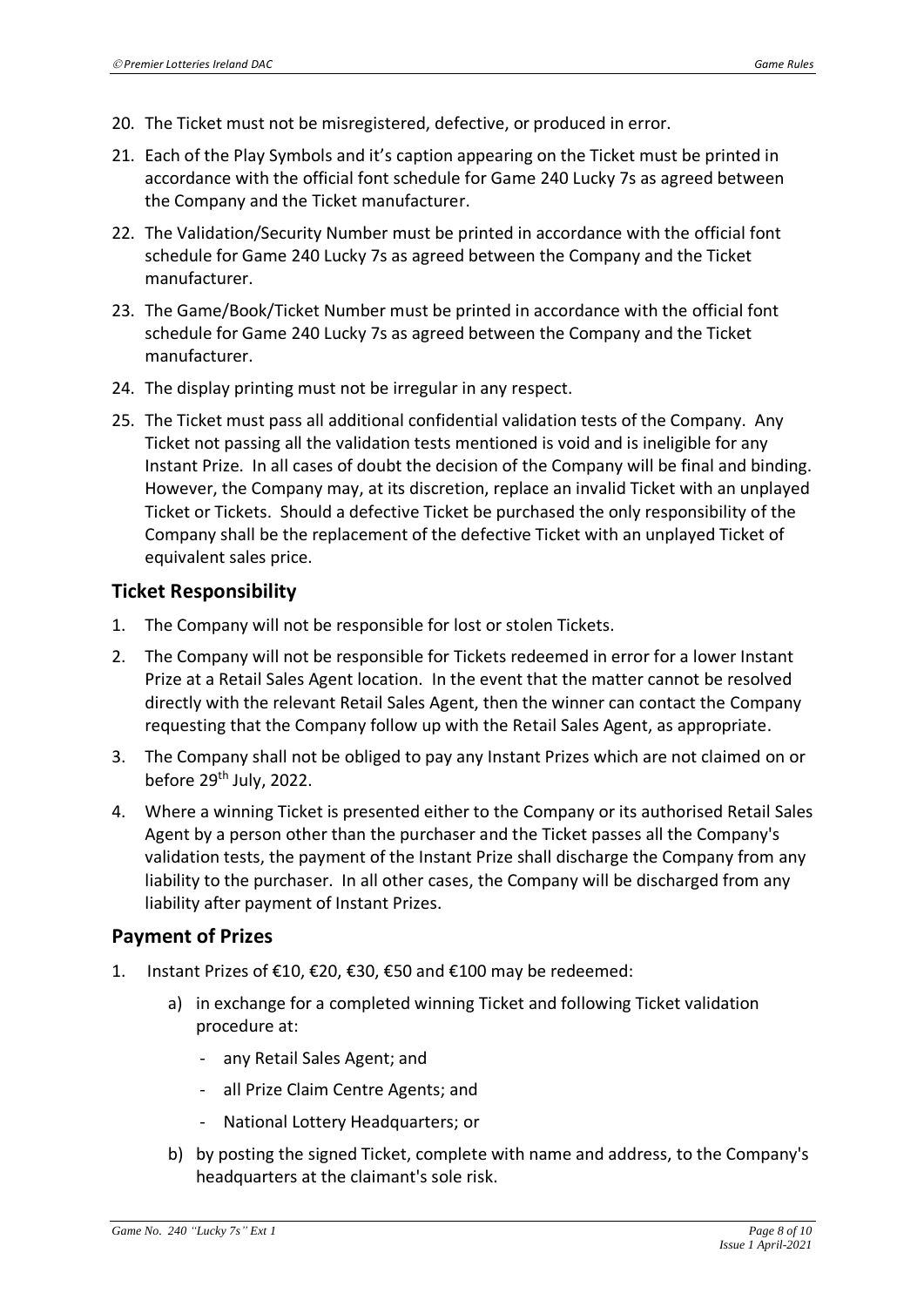- 20. The Ticket must not be misregistered, defective, or produced in error.
- 21. Each of the Play Symbols and it's caption appearing on the Ticket must be printed in accordance with the official font schedule for Game 240 Lucky 7s as agreed between the Company and the Ticket manufacturer.
- 22. The Validation/Security Number must be printed in accordance with the official font schedule for Game 240 Lucky 7s as agreed between the Company and the Ticket manufacturer.
- 23. The Game/Book/Ticket Number must be printed in accordance with the official font schedule for Game 240 Lucky 7s as agreed between the Company and the Ticket manufacturer.
- 24. The display printing must not be irregular in any respect.
- 25. The Ticket must pass all additional confidential validation tests of the Company. Any Ticket not passing all the validation tests mentioned is void and is ineligible for any Instant Prize. In all cases of doubt the decision of the Company will be final and binding. However, the Company may, at its discretion, replace an invalid Ticket with an unplayed Ticket or Tickets. Should a defective Ticket be purchased the only responsibility of the Company shall be the replacement of the defective Ticket with an unplayed Ticket of equivalent sales price.

## **Ticket Responsibility**

- 1. The Company will not be responsible for lost or stolen Tickets.
- 2. The Company will not be responsible for Tickets redeemed in error for a lower Instant Prize at a Retail Sales Agent location. In the event that the matter cannot be resolved directly with the relevant Retail Sales Agent, then the winner can contact the Company requesting that the Company follow up with the Retail Sales Agent, as appropriate.
- 3. The Company shall not be obliged to pay any Instant Prizes which are not claimed on or before 29th July, 2022.
- 4. Where a winning Ticket is presented either to the Company or its authorised Retail Sales Agent by a person other than the purchaser and the Ticket passes all the Company's validation tests, the payment of the Instant Prize shall discharge the Company from any liability to the purchaser. In all other cases, the Company will be discharged from any liability after payment of Instant Prizes.

## **Payment of Prizes**

- 1. Instant Prizes of €10, €20, €30, €50 and €100 may be redeemed:
	- a) in exchange for a completed winning Ticket and following Ticket validation procedure at:
		- any Retail Sales Agent; and
		- all Prize Claim Centre Agents; and
		- National Lottery Headquarters; or
	- b) by posting the signed Ticket, complete with name and address, to the Company's headquarters at the claimant's sole risk.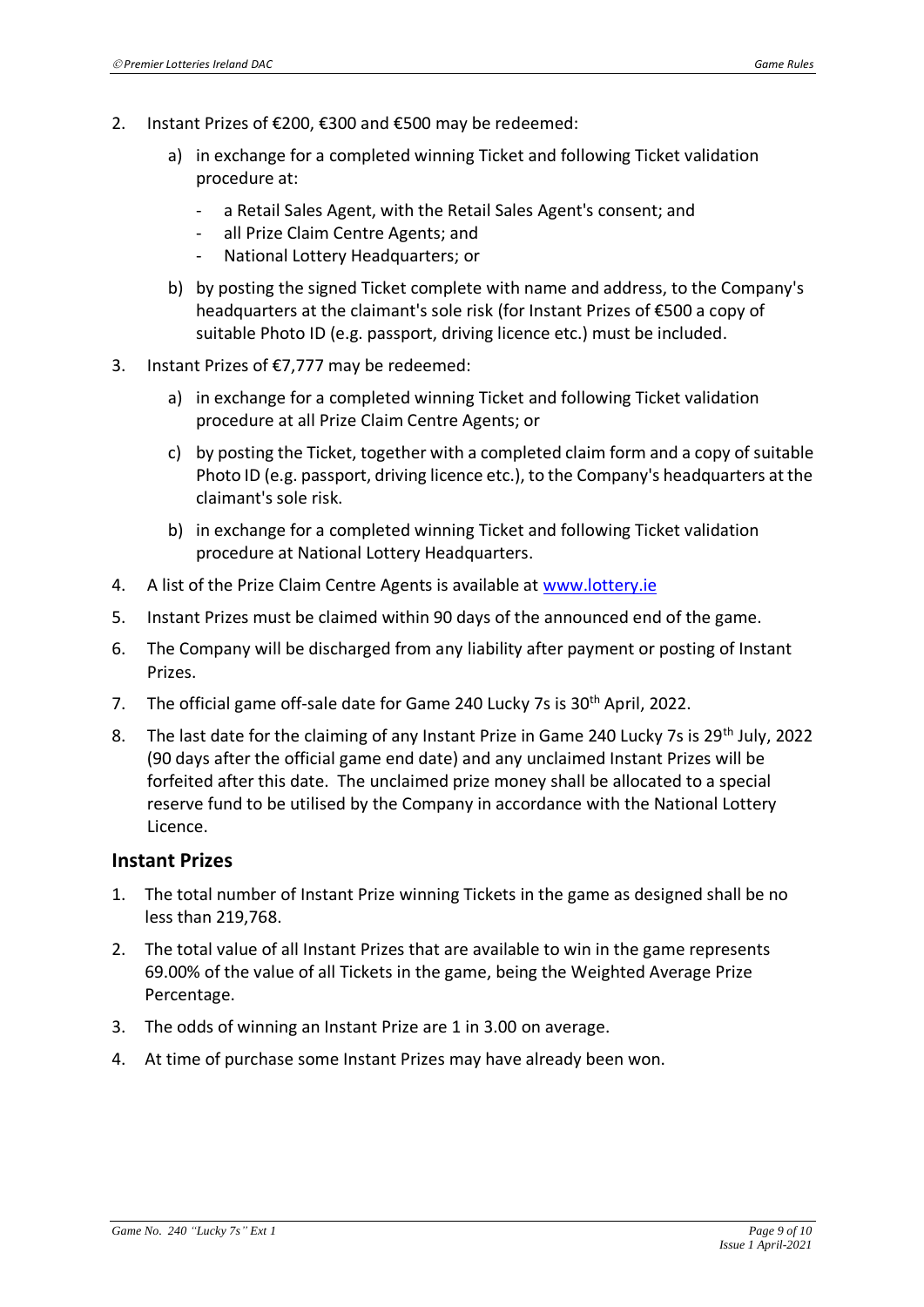- 2. Instant Prizes of €200, €300 and €500 may be redeemed:
	- a) in exchange for a completed winning Ticket and following Ticket validation procedure at:
		- a Retail Sales Agent, with the Retail Sales Agent's consent; and
		- all Prize Claim Centre Agents; and
		- National Lottery Headquarters; or
	- b) by posting the signed Ticket complete with name and address, to the Company's headquarters at the claimant's sole risk (for Instant Prizes of €500 a copy of suitable Photo ID (e.g. passport, driving licence etc.) must be included.
- 3. Instant Prizes of €7,777 may be redeemed:
	- a) in exchange for a completed winning Ticket and following Ticket validation procedure at all Prize Claim Centre Agents; or
	- c) by posting the Ticket, together with a completed claim form and a copy of suitable Photo ID (e.g. passport, driving licence etc.), to the Company's headquarters at the claimant's sole risk.
	- b) in exchange for a completed winning Ticket and following Ticket validation procedure at National Lottery Headquarters.
- 4. A list of the Prize Claim Centre Agents is available at [www.lottery.ie](http://www.lottery.ie/)
- 5. Instant Prizes must be claimed within 90 days of the announced end of the game.
- 6. The Company will be discharged from any liability after payment or posting of Instant Prizes.
- 7. The official game off-sale date for Game 240 Lucky 7s is 30<sup>th</sup> April, 2022.
- 8. The last date for the claiming of any Instant Prize in Game 240 Lucky 7s is 29<sup>th</sup> July, 2022 (90 days after the official game end date) and any unclaimed Instant Prizes will be forfeited after this date. The unclaimed prize money shall be allocated to a special reserve fund to be utilised by the Company in accordance with the National Lottery Licence.

## **Instant Prizes**

- 1. The total number of Instant Prize winning Tickets in the game as designed shall be no less than 219,768.
- 2. The total value of all Instant Prizes that are available to win in the game represents 69.00% of the value of all Tickets in the game, being the Weighted Average Prize Percentage.
- 3. The odds of winning an Instant Prize are 1 in 3.00 on average.
- 4. At time of purchase some Instant Prizes may have already been won.